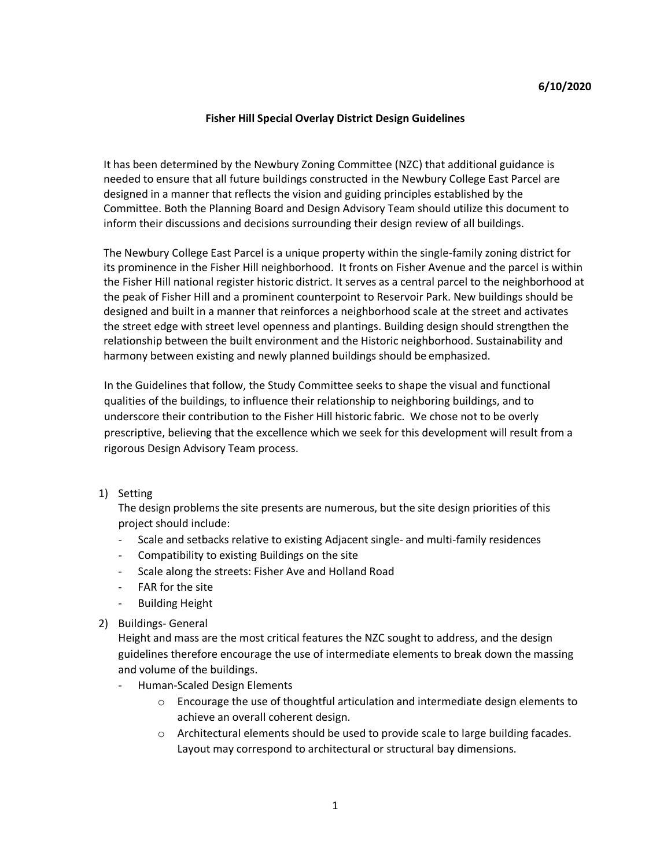## **Fisher Hill Special Overlay District Design Guidelines**

It has been determined by the Newbury Zoning Committee (NZC) that additional guidance is needed to ensure that all future buildings constructed in the Newbury College East Parcel are designed in a manner that reflects the vision and guiding principles established by the Committee. Both the Planning Board and Design Advisory Team should utilize this document to inform their discussions and decisions surrounding their design review of all buildings.

The Newbury College East Parcel is a unique property within the single-family zoning district for its prominence in the Fisher Hill neighborhood. It fronts on Fisher Avenue and the parcel is within the Fisher Hill national register historic district. It serves as a central parcel to the neighborhood at the peak of Fisher Hill and a prominent counterpoint to Reservoir Park. New buildings should be designed and built in a manner that reinforces a neighborhood scale at the street and activates the street edge with street level openness and plantings. Building design should strengthen the relationship between the built environment and the Historic neighborhood. Sustainability and harmony between existing and newly planned buildings should be emphasized.

In the Guidelines that follow, the Study Committee seeks to shape the visual and functional qualities of the buildings, to influence their relationship to neighboring buildings, and to underscore their contribution to the Fisher Hill historic fabric. We chose not to be overly prescriptive, believing that the excellence which we seek for this development will result from a rigorous Design Advisory Team process.

1) Setting

The design problems the site presents are numerous, but the site design priorities of this project should include:

- Scale and setbacks relative to existing Adjacent single- and multi-family residences
- Compatibility to existing Buildings on the site
- Scale along the streets: Fisher Ave and Holland Road
- FAR for the site
- Building Height
- 2) Buildings- General

Height and mass are the most critical features the NZC sought to address, and the design guidelines therefore encourage the use of intermediate elements to break down the massing and volume of the buildings.

- Human-Scaled Design Elements
	- $\circ$  Encourage the use of thoughtful articulation and intermediate design elements to achieve an overall coherent design.
	- $\circ$  Architectural elements should be used to provide scale to large building facades. Layout may correspond to architectural or structural bay dimensions.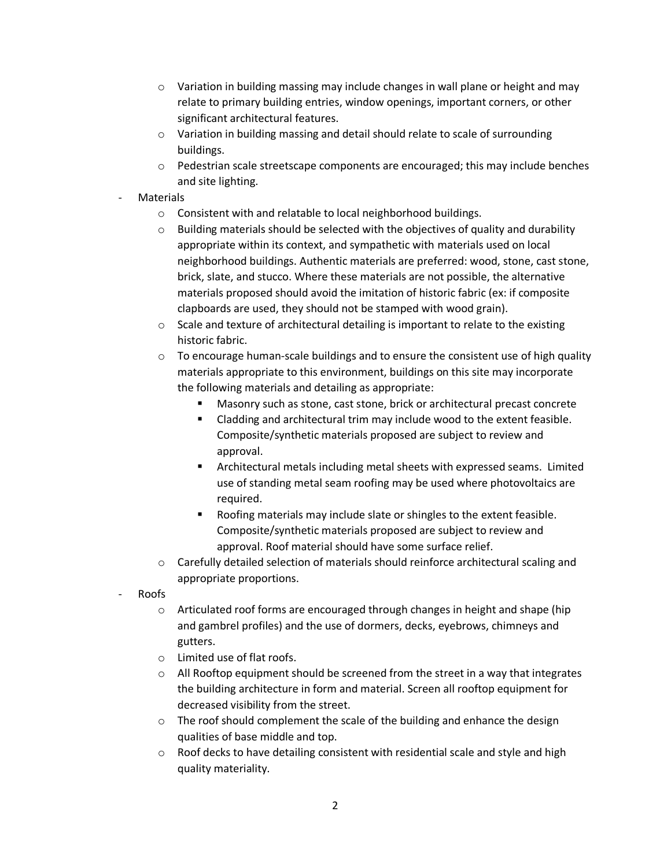- $\circ$  Variation in building massing may include changes in wall plane or height and may relate to primary building entries, window openings, important corners, or other significant architectural features.
- $\circ$  Variation in building massing and detail should relate to scale of surrounding buildings.
- $\circ$  Pedestrian scale streetscape components are encouraged; this may include benches and site lighting.

## **Materials**

- o Consistent with and relatable to local neighborhood buildings.
- $\circ$  Building materials should be selected with the objectives of quality and durability appropriate within its context, and sympathetic with materials used on local neighborhood buildings. Authentic materials are preferred: wood, stone, cast stone, brick, slate, and stucco. Where these materials are not possible, the alternative materials proposed should avoid the imitation of historic fabric (ex: if composite clapboards are used, they should not be stamped with wood grain).
- o Scale and texture of architectural detailing is important to relate to the existing historic fabric.
- $\circ$  To encourage human-scale buildings and to ensure the consistent use of high quality materials appropriate to this environment, buildings on this site may incorporate the following materials and detailing as appropriate:
	- **Masonry such as stone, cast stone, brick or architectural precast concrete**
	- **EXECO and SET AT ATT CLADGE 10 ATT CLADGE IS CLADGE 10** Cladding and architectural trim may include wood to the extent feasible. Composite/synthetic materials proposed are subject to review and approval.
	- Architectural metals including metal sheets with expressed seams. Limited use of standing metal seam roofing may be used where photovoltaics are required.
	- Roofing materials may include slate or shingles to the extent feasible. Composite/synthetic materials proposed are subject to review and approval. Roof material should have some surface relief.
- $\circ$  Carefully detailed selection of materials should reinforce architectural scaling and appropriate proportions.
- Roofs
	- $\circ$  Articulated roof forms are encouraged through changes in height and shape (hip and gambrel profiles) and the use of dormers, decks, eyebrows, chimneys and gutters.
	- o Limited use of flat roofs.
	- $\circ$  All Rooftop equipment should be screened from the street in a way that integrates the building architecture in form and material. Screen all rooftop equipment for decreased visibility from the street.
	- o The roof should complement the scale of the building and enhance the design qualities of base middle and top.
	- o Roof decks to have detailing consistent with residential scale and style and high quality materiality.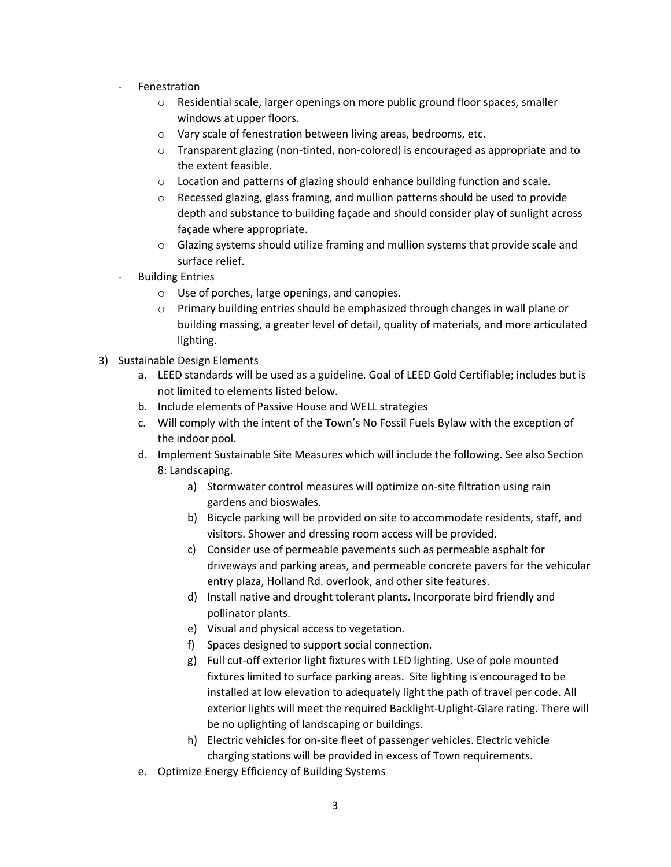- **Fenestration** 
	- o Residential scale, larger openings on more public ground floor spaces, smaller windows at upper floors.
	- o Vary scale of fenestration between living areas, bedrooms, etc.
	- $\circ$  Transparent glazing (non-tinted, non-colored) is encouraged as appropriate and to the extent feasible.
	- $\circ$  Location and patterns of glazing should enhance building function and scale.
	- o Recessed glazing, glass framing, and mullion patterns should be used to provide depth and substance to building façade and should consider play of sunlight across façade where appropriate.
	- $\circ$  Glazing systems should utilize framing and mullion systems that provide scale and surface relief.
- **Building Entries** 
	- o Use of porches, large openings, and canopies.
	- $\circ$  Primary building entries should be emphasized through changes in wall plane or building massing, a greater level of detail, quality of materials, and more articulated lighting.
- 3) Sustainable Design Elements
	- a. LEED standards will be used as a guideline. Goal of LEED Gold Certifiable; includes but is not limited to elements listed below.
	- b. Include elements of Passive House and WELL strategies
	- c. Will comply with the intent of the Town's No Fossil Fuels Bylaw with the exception of the indoor pool.
	- d. Implement Sustainable Site Measures which will include the following. See also Section 8: Landscaping.
		- a) Stormwater control measures will optimize on-site filtration using rain gardens and bioswales.
		- b) Bicycle parking will be provided on site to accommodate residents, staff, and visitors. Shower and dressing room access will be provided.
		- c) Consider use of permeable pavements such as permeable asphalt for driveways and parking areas, and permeable concrete pavers for the vehicular entry plaza, Holland Rd. overlook, and other site features.
		- d) Install native and drought tolerant plants. Incorporate bird friendly and pollinator plants.
		- e) Visual and physical access to vegetation.
		- f) Spaces designed to support social connection.
		- g) Full cut-off exterior light fixtures with LED lighting. Use of pole mounted fixtures limited to surface parking areas. Site lighting is encouraged to be installed at low elevation to adequately light the path of travel per code. All exterior lights will meet the required Backlight-Uplight-Glare rating. There will be no uplighting of landscaping or buildings.
		- h) Electric vehicles for on-site fleet of passenger vehicles. Electric vehicle charging stations will be provided in excess of Town requirements.
	- e. Optimize Energy Efficiency of Building Systems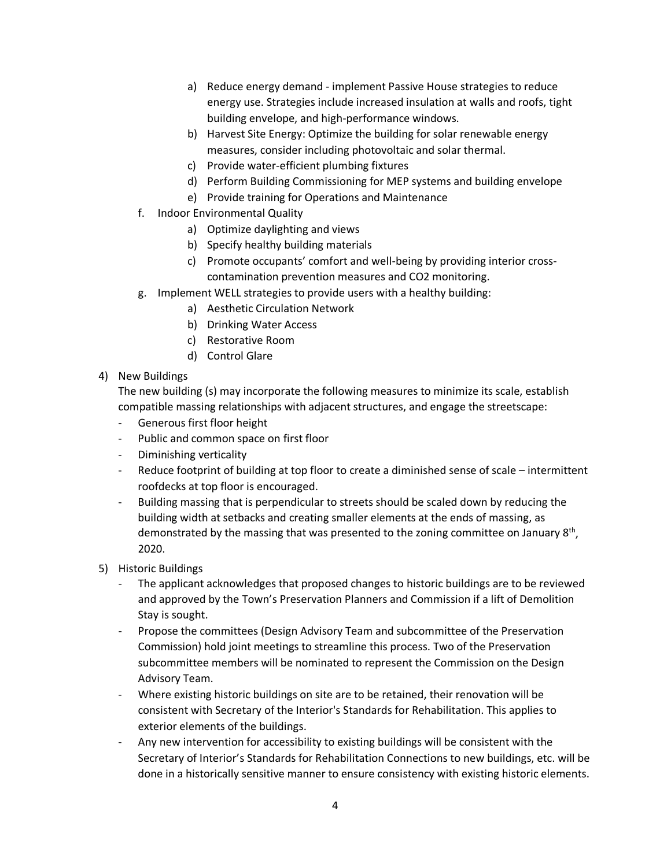- a) Reduce energy demand implement Passive House strategies to reduce energy use. Strategies include increased insulation at walls and roofs, tight building envelope, and high-performance windows.
- b) Harvest Site Energy: Optimize the building for solar renewable energy measures, consider including photovoltaic and solar thermal.
- c) Provide water-efficient plumbing fixtures
- d) Perform Building Commissioning for MEP systems and building envelope
- e) Provide training for Operations and Maintenance
- f. Indoor Environmental Quality
	- a) Optimize daylighting and views
	- b) Specify healthy building materials
	- c) Promote occupants' comfort and well-being by providing interior crosscontamination prevention measures and CO2 monitoring.
- g. Implement WELL strategies to provide users with a healthy building:
	- a) Aesthetic Circulation Network
	- b) Drinking Water Access
	- c) Restorative Room
	- d) Control Glare
- 4) New Buildings

The new building (s) may incorporate the following measures to minimize its scale, establish compatible massing relationships with adjacent structures, and engage the streetscape:

- Generous first floor height
- Public and common space on first floor
- Diminishing verticality
- Reduce footprint of building at top floor to create a diminished sense of scale intermittent roofdecks at top floor is encouraged.
- Building massing that is perpendicular to streets should be scaled down by reducing the building width at setbacks and creating smaller elements at the ends of massing, as demonstrated by the massing that was presented to the zoning committee on January 8<sup>th</sup>, 2020.
- 5) Historic Buildings
	- The applicant acknowledges that proposed changes to historic buildings are to be reviewed and approved by the Town's Preservation Planners and Commission if a lift of Demolition Stay is sought.
	- Propose the committees (Design Advisory Team and subcommittee of the Preservation Commission) hold joint meetings to streamline this process. Two of the Preservation subcommittee members will be nominated to represent the Commission on the Design Advisory Team.
	- Where existing historic buildings on site are to be retained, their renovation will be consistent with Secretary of the Interior's Standards for Rehabilitation. This applies to exterior elements of the buildings.
	- Any new intervention for accessibility to existing buildings will be consistent with the Secretary of Interior's Standards for Rehabilitation Connections to new buildings, etc. will be done in a historically sensitive manner to ensure consistency with existing historic elements.